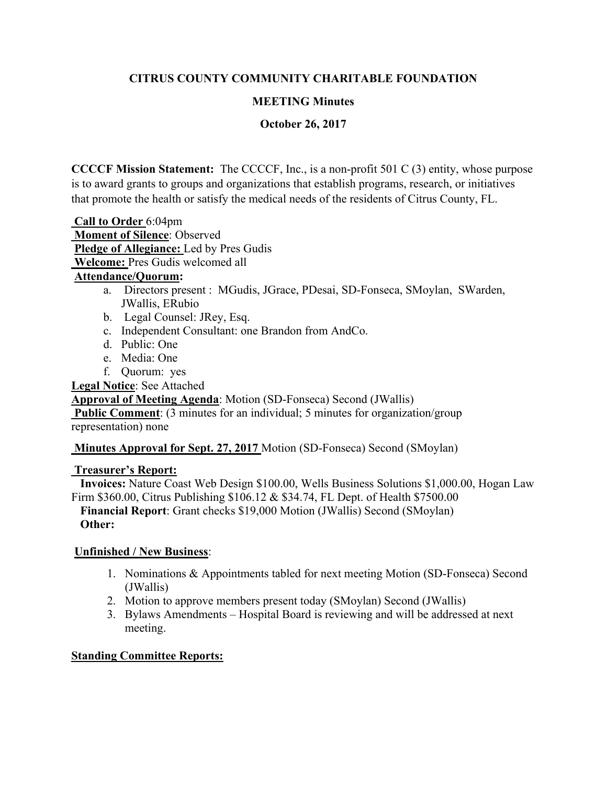# **CITRUS COUNTY COMMUNITY CHARITABLE FOUNDATION**

### **MEETING Minutes**

**October 26, 2017** 

**CCCCF Mission Statement:** The CCCCF, Inc., is a non-profit 501 C (3) entity, whose purpose is to award grants to groups and organizations that establish programs, research, or initiatives that promote the health or satisfy the medical needs of the residents of Citrus County, FL.

 **Call to Order** 6:04pm  **Moment of Silence**: Observed **Pledge of Allegiance:** Led by Pres Gudis  **Welcome:** Pres Gudis welcomed all

### **Attendance/Quorum:**

- a. Directors present : MGudis, JGrace, PDesai, SD-Fonseca, SMoylan, SWarden, JWallis, ERubio
- b. Legal Counsel: JRey, Esq.
- c. Independent Consultant: one Brandon from AndCo.
- d. Public: One
- e. Media: One
- f. Quorum: yes

**Legal Notice**: See Attached

**Approval of Meeting Agenda**: Motion (SD-Fonseca) Second (JWallis)

**Public Comment:** (3 minutes for an individual; 5 minutes for organization/group representation) none

 **Minutes Approval for Sept. 27, 2017** Motion (SD-Fonseca) Second (SMoylan)

### **Treasurer's Report:**

 **Invoices:** Nature Coast Web Design \$100.00, Wells Business Solutions \$1,000.00, Hogan Law Firm \$360.00, Citrus Publishing \$106.12 & \$34.74, FL Dept. of Health \$7500.00

 **Financial Report**: Grant checks \$19,000 Motion (JWallis) Second (SMoylan) **Other:** 

### **Unfinished / New Business**:

- 1. Nominations & Appointments tabled for next meeting Motion (SD-Fonseca) Second (JWallis)
- 2. Motion to approve members present today (SMoylan) Second (JWallis)
- 3. Bylaws Amendments Hospital Board is reviewing and will be addressed at next meeting.

### **Standing Committee Reports:**